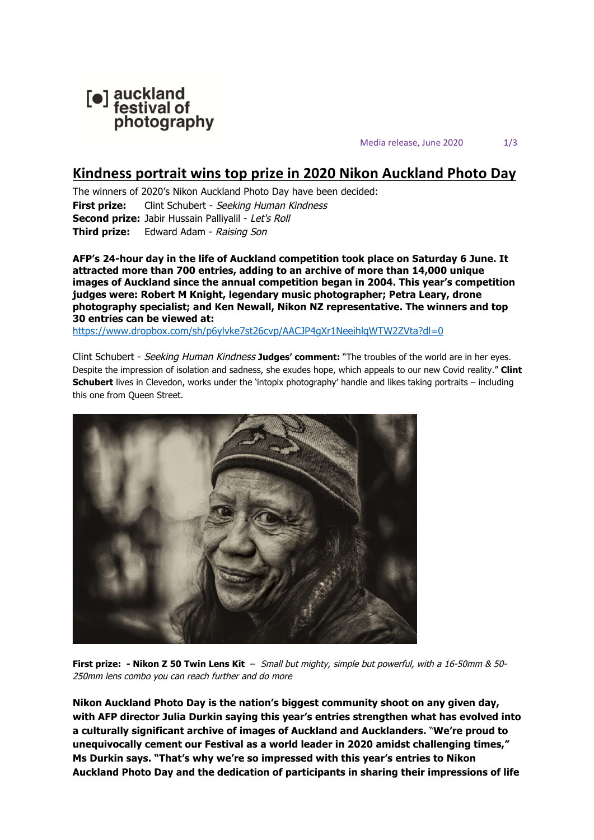

Media release, June 2020 1/3

## **Kindness portrait wins top prize in 2020 Nikon Auckland Photo Day**

The winners of 2020's Nikon Auckland Photo Day have been decided: **First prize:** Clint Schubert - Seeking Human Kindness **Second prize:** Jabir Hussain Palliyalil - Let's Roll **Third prize:** Edward Adam - Raising Son

**AFP's 24-hour day in the life of Auckland competition took place on Saturday 6 June. It attracted more than 700 entries, adding to an archive of more than 14,000 unique images of Auckland since the annual competition began in 2004. This year's competition judges were: Robert M Knight, legendary music photographer; Petra Leary, drone photography specialist; and Ken Newall, Nikon NZ representative. The winners and top 30 entries can be viewed at:**

https://www.dropbox.com/sh/p6ylvke7st26cvp/AACJP4gXr1NeeihlqWTW2ZVta?dl=0

Clint Schubert - Seeking Human Kindness **Judges' comment:** "The troubles of the world are in her eyes. Despite the impression of isolation and sadness, she exudes hope, which appeals to our new Covid reality." **Clint Schubert** lives in Clevedon, works under the 'intopix photography' handle and likes taking portraits – including this one from Queen Street.



**First prize: - Nikon Z 50 Twin Lens Kit** – Small but mighty, simple but powerful, with a 16-50mm & 50- 250mm lens combo you can reach further and do more

**Nikon Auckland Photo Day is the nation's biggest community shoot on any given day, with AFP director Julia Durkin saying this year's entries strengthen what has evolved into a culturally significant archive of images of Auckland and Aucklanders.** "**We're proud to unequivocally cement our Festival as a world leader in 2020 amidst challenging times," Ms Durkin says. "That's why we're so impressed with this year's entries to Nikon Auckland Photo Day and the dedication of participants in sharing their impressions of life**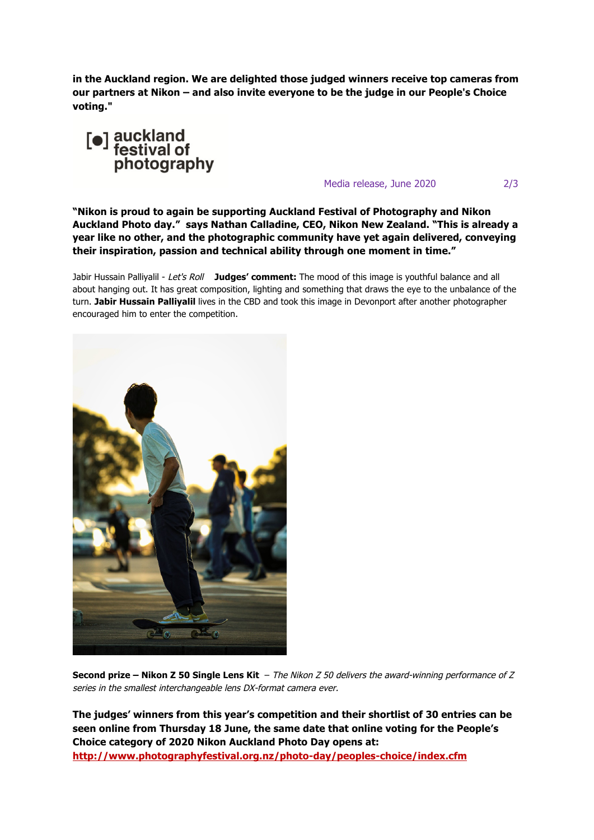**in the Auckland region. We are delighted those judged winners receive top cameras from our partners at Nikon – and also invite everyone to be the judge in our People's Choice voting."** 



Media release, June 2020 2/3

**"Nikon is proud to again be supporting Auckland Festival of Photography and Nikon Auckland Photo day." says Nathan Calladine, CEO, Nikon New Zealand. "This is already a year like no other, and the photographic community have yet again delivered, conveying their inspiration, passion and technical ability through one moment in time."** 

Jabir Hussain Palliyalil - Let's Roll **Judges' comment:** The mood of this image is youthful balance and all about hanging out. It has great composition, lighting and something that draws the eye to the unbalance of the turn. **Jabir Hussain Palliyalil** lives in the CBD and took this image in Devonport after another photographer encouraged him to enter the competition.



**Second prize – Nikon Z 50 Single Lens Kit** – The Nikon Z 50 delivers the award-winning performance of Z series in the smallest interchangeable lens DX-format camera ever.

**The judges' winners from this year's competition and their shortlist of 30 entries can be seen online from Thursday 18 June, the same date that online voting for the People's Choice category of 2020 Nikon Auckland Photo Day opens at: http://www.photographyfestival.org.nz/photo-day/peoples-choice/index.cfm**